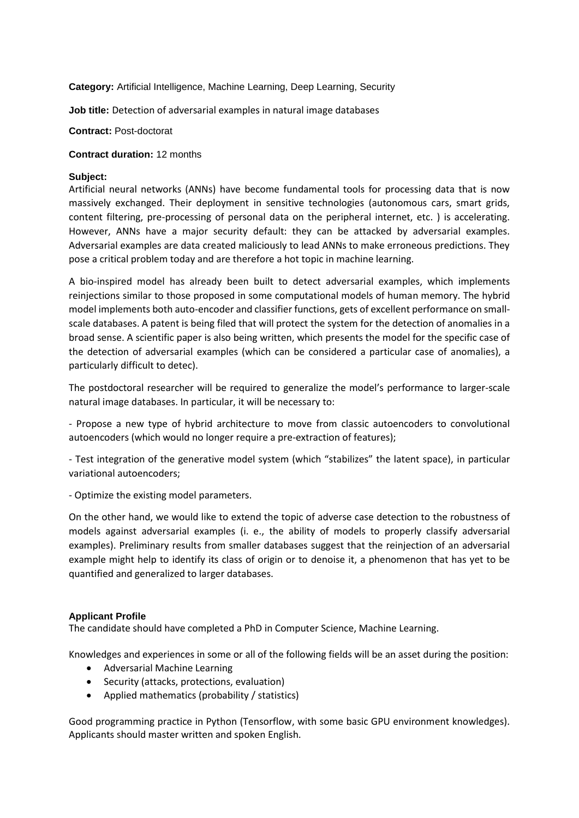**Category:** Artificial Intelligence, Machine Learning, Deep Learning, Security

**Job title:** Detection of adversarial examples in natural image databases

**Contract:** Post-doctorat

## **Contract duration:** 12 months

## **Subject:**

Artificial neural networks (ANNs) have become fundamental tools for processing data that is now massively exchanged. Their deployment in sensitive technologies (autonomous cars, smart grids, content filtering, pre-processing of personal data on the peripheral internet, etc. ) is accelerating. However, ANNs have a major security default: they can be attacked by adversarial examples. Adversarial examples are data created maliciously to lead ANNs to make erroneous predictions. They pose a critical problem today and are therefore a hot topic in machine learning.

A bio-inspired model has already been built to detect adversarial examples, which implements reinjections similar to those proposed in some computational models of human memory. The hybrid model implements both auto-encoder and classifier functions, gets of excellent performance on smallscale databases. A patent is being filed that will protect the system for the detection of anomalies in a broad sense. A scientific paper is also being written, which presents the model for the specific case of the detection of adversarial examples (which can be considered a particular case of anomalies), a particularly difficult to detec).

The postdoctoral researcher will be required to generalize the model's performance to larger-scale natural image databases. In particular, it will be necessary to:

- Propose a new type of hybrid architecture to move from classic autoencoders to convolutional autoencoders (which would no longer require a pre-extraction of features);

- Test integration of the generative model system (which "stabilizes" the latent space), in particular variational autoencoders;

- Optimize the existing model parameters.

On the other hand, we would like to extend the topic of adverse case detection to the robustness of models against adversarial examples (i. e., the ability of models to properly classify adversarial examples). Preliminary results from smaller databases suggest that the reinjection of an adversarial example might help to identify its class of origin or to denoise it, a phenomenon that has yet to be quantified and generalized to larger databases.

## **Applicant Profile**

The candidate should have completed a PhD in Computer Science, Machine Learning.

Knowledges and experiences in some or all of the following fields will be an asset during the position:

- Adversarial Machine Learning
- Security (attacks, protections, evaluation)
- Applied mathematics (probability / statistics)

Good programming practice in Python (Tensorflow, with some basic GPU environment knowledges). Applicants should master written and spoken English.